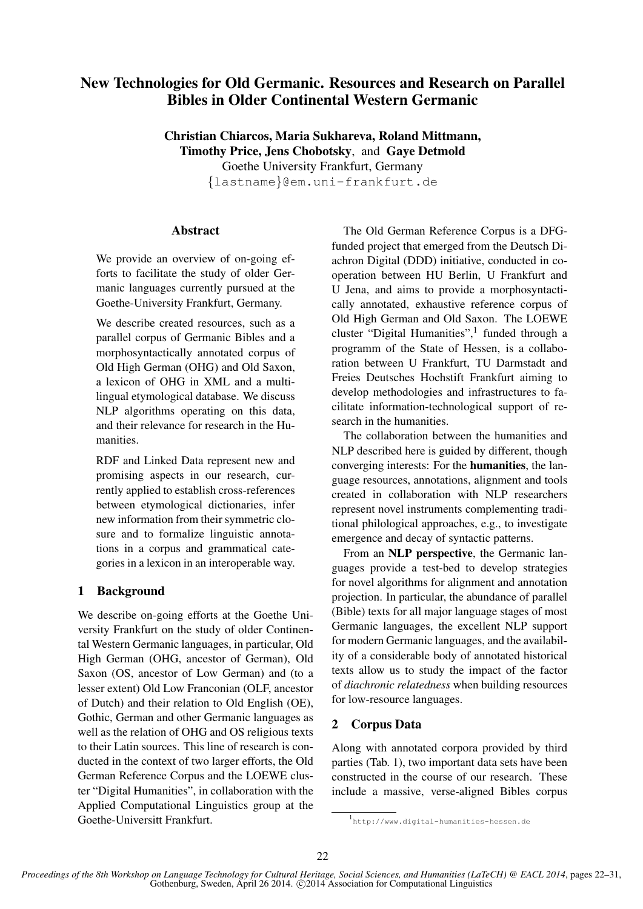# New Technologies for Old Germanic. Resources and Research on Parallel Bibles in Older Continental Western Germanic

Christian Chiarcos, Maria Sukhareva, Roland Mittmann, Timothy Price, Jens Chobotsky, and Gaye Detmold Goethe University Frankfurt, Germany {lastname}@em.uni-frankfurt.de

### Abstract

We provide an overview of on-going efforts to facilitate the study of older Germanic languages currently pursued at the Goethe-University Frankfurt, Germany.

We describe created resources, such as a parallel corpus of Germanic Bibles and a morphosyntactically annotated corpus of Old High German (OHG) and Old Saxon, a lexicon of OHG in XML and a multilingual etymological database. We discuss NLP algorithms operating on this data, and their relevance for research in the Humanities.

RDF and Linked Data represent new and promising aspects in our research, currently applied to establish cross-references between etymological dictionaries, infer new information from their symmetric closure and to formalize linguistic annotations in a corpus and grammatical categories in a lexicon in an interoperable way.

## 1 Background

We describe on-going efforts at the Goethe University Frankfurt on the study of older Continental Western Germanic languages, in particular, Old High German (OHG, ancestor of German), Old Saxon (OS, ancestor of Low German) and (to a lesser extent) Old Low Franconian (OLF, ancestor of Dutch) and their relation to Old English (OE), Gothic, German and other Germanic languages as well as the relation of OHG and OS religious texts to their Latin sources. This line of research is conducted in the context of two larger efforts, the Old German Reference Corpus and the LOEWE cluster "Digital Humanities", in collaboration with the Applied Computational Linguistics group at the Goethe-Universitt Frankfurt.

The Old German Reference Corpus is a DFGfunded project that emerged from the Deutsch Diachron Digital (DDD) initiative, conducted in cooperation between HU Berlin, U Frankfurt and U Jena, and aims to provide a morphosyntactically annotated, exhaustive reference corpus of Old High German and Old Saxon. The LOEWE cluster "Digital Humanities",<sup>1</sup> funded through a programm of the State of Hessen, is a collaboration between U Frankfurt, TU Darmstadt and Freies Deutsches Hochstift Frankfurt aiming to develop methodologies and infrastructures to facilitate information-technological support of research in the humanities.

The collaboration between the humanities and NLP described here is guided by different, though converging interests: For the humanities, the language resources, annotations, alignment and tools created in collaboration with NLP researchers represent novel instruments complementing traditional philological approaches, e.g., to investigate emergence and decay of syntactic patterns.

From an NLP perspective, the Germanic languages provide a test-bed to develop strategies for novel algorithms for alignment and annotation projection. In particular, the abundance of parallel (Bible) texts for all major language stages of most Germanic languages, the excellent NLP support for modern Germanic languages, and the availability of a considerable body of annotated historical texts allow us to study the impact of the factor of *diachronic relatedness* when building resources for low-resource languages.

### 2 Corpus Data

Along with annotated corpora provided by third parties (Tab. 1), two important data sets have been constructed in the course of our research. These include a massive, verse-aligned Bibles corpus

<sup>1</sup> http://www.digital-humanities-hessen.de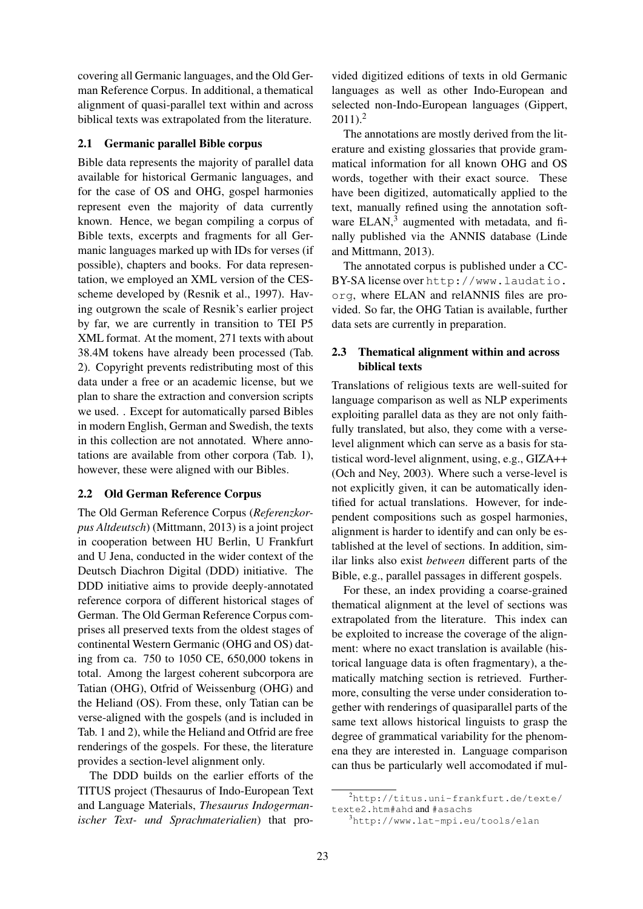covering all Germanic languages, and the Old German Reference Corpus. In additional, a thematical alignment of quasi-parallel text within and across biblical texts was extrapolated from the literature.

#### 2.1 Germanic parallel Bible corpus

Bible data represents the majority of parallel data available for historical Germanic languages, and for the case of OS and OHG, gospel harmonies represent even the majority of data currently known. Hence, we began compiling a corpus of Bible texts, excerpts and fragments for all Germanic languages marked up with IDs for verses (if possible), chapters and books. For data representation, we employed an XML version of the CESscheme developed by (Resnik et al., 1997). Having outgrown the scale of Resnik's earlier project by far, we are currently in transition to TEI P5 XML format. At the moment, 271 texts with about 38.4M tokens have already been processed (Tab. 2). Copyright prevents redistributing most of this data under a free or an academic license, but we plan to share the extraction and conversion scripts we used. . Except for automatically parsed Bibles in modern English, German and Swedish, the texts in this collection are not annotated. Where annotations are available from other corpora (Tab. 1), however, these were aligned with our Bibles.

### 2.2 Old German Reference Corpus

The Old German Reference Corpus (*Referenzkorpus Altdeutsch*) (Mittmann, 2013) is a joint project in cooperation between HU Berlin, U Frankfurt and U Jena, conducted in the wider context of the Deutsch Diachron Digital (DDD) initiative. The DDD initiative aims to provide deeply-annotated reference corpora of different historical stages of German. The Old German Reference Corpus comprises all preserved texts from the oldest stages of continental Western Germanic (OHG and OS) dating from ca. 750 to 1050 CE, 650,000 tokens in total. Among the largest coherent subcorpora are Tatian (OHG), Otfrid of Weissenburg (OHG) and the Heliand (OS). From these, only Tatian can be verse-aligned with the gospels (and is included in Tab. 1 and 2), while the Heliand and Otfrid are free renderings of the gospels. For these, the literature provides a section-level alignment only.

The DDD builds on the earlier efforts of the TITUS project (Thesaurus of Indo-European Text and Language Materials, *Thesaurus Indogermanischer Text- und Sprachmaterialien*) that pro-

vided digitized editions of texts in old Germanic languages as well as other Indo-European and selected non-Indo-European languages (Gippert,  $2011$ ).<sup>2</sup>

The annotations are mostly derived from the literature and existing glossaries that provide grammatical information for all known OHG and OS words, together with their exact source. These have been digitized, automatically applied to the text, manually refined using the annotation software ELAN,<sup>3</sup> augmented with metadata, and finally published via the ANNIS database (Linde and Mittmann, 2013).

The annotated corpus is published under a CC-BY-SA license over http://www.laudatio. org, where ELAN and relANNIS files are provided. So far, the OHG Tatian is available, further data sets are currently in preparation.

### 2.3 Thematical alignment within and across biblical texts

Translations of religious texts are well-suited for language comparison as well as NLP experiments exploiting parallel data as they are not only faithfully translated, but also, they come with a verselevel alignment which can serve as a basis for statistical word-level alignment, using, e.g., GIZA++ (Och and Ney, 2003). Where such a verse-level is not explicitly given, it can be automatically identified for actual translations. However, for independent compositions such as gospel harmonies, alignment is harder to identify and can only be established at the level of sections. In addition, similar links also exist *between* different parts of the Bible, e.g., parallel passages in different gospels.

For these, an index providing a coarse-grained thematical alignment at the level of sections was extrapolated from the literature. This index can be exploited to increase the coverage of the alignment: where no exact translation is available (historical language data is often fragmentary), a thematically matching section is retrieved. Furthermore, consulting the verse under consideration together with renderings of quasiparallel parts of the same text allows historical linguists to grasp the degree of grammatical variability for the phenomena they are interested in. Language comparison can thus be particularly well accomodated if mul-

<sup>2</sup>http://titus.uni-frankfurt.de/texte/ texte2.htm#ahd and #asachs

<sup>3</sup>http://www.lat-mpi.eu/tools/elan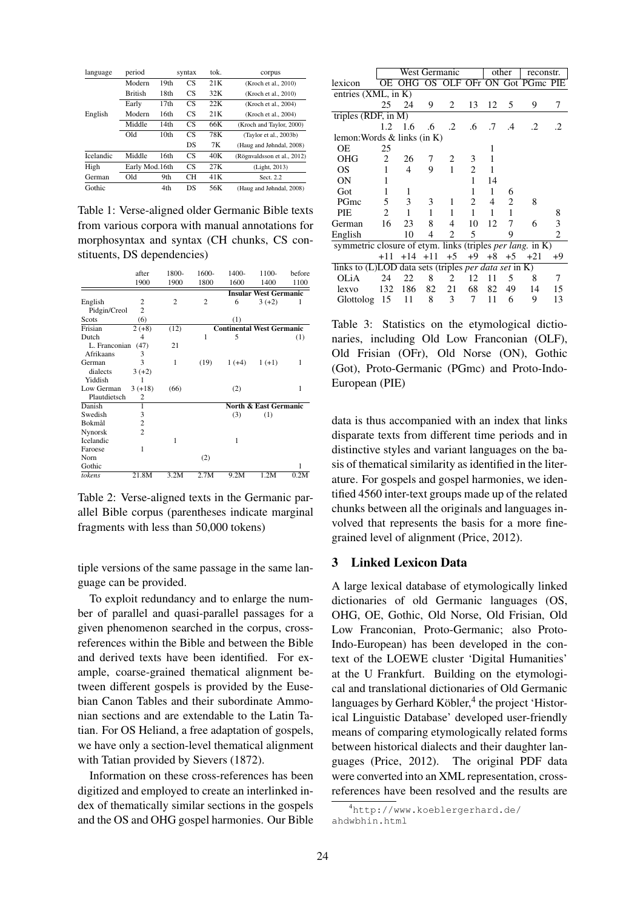| language  | period         |                  | syntax          | tok. | corpus                      |
|-----------|----------------|------------------|-----------------|------|-----------------------------|
|           | Modern         | 19th             | CS              | 21K  | (Kroch et al., 2010)        |
|           | <b>British</b> | 18th             | <b>CS</b>       | 32K  | (Kroch et al., 2010)        |
|           | Early          | 17th             | <b>CS</b>       | 22K  | (Kroch et al., 2004)        |
| English   | Modern         | 16th             | CS              | 21K  | (Kroch et al., 2004)        |
|           | Middle         | 14th             | <b>CS</b>       | 66K  | (Kroch and Taylor, 2000)    |
|           | Old            | 10 <sub>th</sub> | CS <sup>-</sup> | 78K  | (Taylor et al., 2003b)      |
|           |                |                  | DS              | 7K   | (Haug and Jøhndal, 2008)    |
| Icelandic | Middle         | 16th             | CS              | 40K  | (Rögnvaldsson et al., 2012) |
| High      | Early Mod.16th |                  | CS              | 27K  | (Light, 2013)               |
| German    | Old            | 9th              | CН              | 41K  | Sect. 2.2                   |
| Gothic    |                | 4th              | <b>DS</b>       | 56K  | (Haug and Jøhndal, 2008)    |

Table 1: Verse-aligned older Germanic Bible texts from various corpora with manual annotations for morphosyntax and syntax (CH chunks, CS constituents, DS dependencies)

|               | after          | 1800-          | 1600-          | 1400-                            | 1100-                            | before |
|---------------|----------------|----------------|----------------|----------------------------------|----------------------------------|--------|
|               | 1900           | 1900           | 1800           | 1600                             | 1400                             | 1100   |
|               |                |                |                |                                  | <b>Insular West Germanic</b>     |        |
| English       | 2              | $\overline{c}$ | $\overline{c}$ | 6                                | $3(+2)$                          | 1      |
| Pidgin/Creol  | $\overline{c}$ |                |                |                                  |                                  |        |
| Scots         | (6)            |                |                | (1)                              |                                  |        |
| Frisian       | $2 (+8)$       | (12)           |                | <b>Continental West Germanic</b> |                                  |        |
| Dutch         | 4              |                | 1              | 5                                |                                  | (1)    |
| L. Franconian | (47)           | 21             |                |                                  |                                  |        |
| Afrikaans     | 3              |                |                |                                  |                                  |        |
| German        | 3              | 1              | (19)           | $1(+4)$                          | $1(+1)$                          | 1      |
| dialects      | $3(+2)$        |                |                |                                  |                                  |        |
| Yiddish       |                |                |                |                                  |                                  |        |
| Low German    | $3(+18)$       | (66)           |                | (2)                              |                                  | 1      |
| Plautdietsch  | 2              |                |                |                                  |                                  |        |
| Danish        | 1              |                |                |                                  | <b>North &amp; East Germanic</b> |        |
| Swedish       | 3              |                |                | (3)                              | (1)                              |        |
| Bokmål        | $\overline{c}$ |                |                |                                  |                                  |        |
| Nynorsk       | $\overline{c}$ |                |                |                                  |                                  |        |
| Icelandic     |                | 1              |                | 1                                |                                  |        |
| Faroese       | 1              |                |                |                                  |                                  |        |
| Norn          |                |                | (2)            |                                  |                                  |        |
| Gothic        |                |                |                |                                  |                                  |        |
| tokens        | 21.8M          | 3.2M           | 2.7M           | 9.2M                             | 1.2M                             | 0.2M   |

Table 2: Verse-aligned texts in the Germanic parallel Bible corpus (parentheses indicate marginal fragments with less than 50,000 tokens)

tiple versions of the same passage in the same language can be provided.

To exploit redundancy and to enlarge the number of parallel and quasi-parallel passages for a given phenomenon searched in the corpus, crossreferences within the Bible and between the Bible and derived texts have been identified. For example, coarse-grained thematical alignment between different gospels is provided by the Eusebian Canon Tables and their subordinate Ammonian sections and are extendable to the Latin Tatian. For OS Heliand, a free adaptation of gospels, we have only a section-level thematical alignment with Tatian provided by Sievers (1872).

Information on these cross-references has been digitized and employed to create an interlinked index of thematically similar sections in the gospels and the OS and OHG gospel harmonies. Our Bible

| West Germanic                                                    |                |                 |           | other                                         |    | reconstr.      |           |                                                                      |  |
|------------------------------------------------------------------|----------------|-----------------|-----------|-----------------------------------------------|----|----------------|-----------|----------------------------------------------------------------------|--|
|                                                                  |                |                 |           |                                               |    |                |           |                                                                      |  |
| entries $(XML, in K)$                                            |                |                 |           |                                               |    |                |           |                                                                      |  |
| 25                                                               | 24             | 9               | 2         | 13                                            | 12 | 5              | 9         | 7                                                                    |  |
| triples $(R\overline{DF, in M})$                                 |                |                 |           |                                               |    |                |           |                                                                      |  |
|                                                                  |                | .6              | $\cdot$ 2 | .6                                            | .7 | $\mathcal{A}$  | $\cdot$ 2 | 2                                                                    |  |
|                                                                  |                |                 |           |                                               |    |                |           |                                                                      |  |
| 25                                                               |                |                 |           |                                               | 1  |                |           |                                                                      |  |
| 2                                                                | 26             | 7               | 2         | 3                                             | 1  |                |           |                                                                      |  |
| 1                                                                | $\overline{4}$ | 9               |           | $\overline{c}$                                | 1  |                |           |                                                                      |  |
| 1                                                                |                |                 |           | 1                                             | 14 |                |           |                                                                      |  |
| 1                                                                | 1              |                 |           | 1                                             | 1  | 6              |           |                                                                      |  |
| 5                                                                | 3              | 3               | 1         | $\overline{c}$                                | 4  | $\overline{c}$ | 8         |                                                                      |  |
| $\overline{2}$                                                   | 1              | 1               | 1         | 1                                             | 1  | 1              |           | 8                                                                    |  |
| 16                                                               | 23             | 8               | 4         | 10                                            | 12 | 7              | 6         | 3                                                                    |  |
|                                                                  | 10             | 4               | 2         | 5                                             |    | 9              |           | 2                                                                    |  |
| symmetric closure of etym. links (triples <i>per lang.</i> in K) |                |                 |           |                                               |    |                |           |                                                                      |  |
| $+11$                                                            |                |                 |           |                                               |    |                | $+21$     | +9                                                                   |  |
| links to $(L)$ LOD data sets (triples <i>per data set</i> in K)  |                |                 |           |                                               |    |                |           |                                                                      |  |
| 24                                                               | 22             | 8               | 2         | 12                                            | 11 | 5              | 8         | 7                                                                    |  |
| 132                                                              | 186            | 82              | 21        | 68                                            | 82 | 49             | 14        | 15                                                                   |  |
| 15                                                               | 11             | 8               | 3         | 7                                             | 11 | 6              | 9         | 13                                                                   |  |
|                                                                  |                | $1.2 \quad 1.6$ |           | lemon: Words $&$ links (in K)<br>$\mathbf{1}$ |    |                |           | OE OHG OS OLF OFr ON Got PGmc PIE<br>$+14$ $+11$ $+5$ $+9$ $+8$ $+5$ |  |

Table 3: Statistics on the etymological dictionaries, including Old Low Franconian (OLF), Old Frisian (OFr), Old Norse (ON), Gothic (Got), Proto-Germanic (PGmc) and Proto-Indo-European (PIE)

data is thus accompanied with an index that links disparate texts from different time periods and in distinctive styles and variant languages on the basis of thematical similarity as identified in the literature. For gospels and gospel harmonies, we identified 4560 inter-text groups made up of the related chunks between all the originals and languages involved that represents the basis for a more finegrained level of alignment (Price, 2012).

### 3 Linked Lexicon Data

A large lexical database of etymologically linked dictionaries of old Germanic languages (OS, OHG, OE, Gothic, Old Norse, Old Frisian, Old Low Franconian, Proto-Germanic; also Proto-Indo-European) has been developed in the context of the LOEWE cluster 'Digital Humanities' at the U Frankfurt. Building on the etymological and translational dictionaries of Old Germanic languages by Gerhard Köbler,<sup>4</sup> the project 'Historical Linguistic Database' developed user-friendly means of comparing etymologically related forms between historical dialects and their daughter languages (Price, 2012). The original PDF data were converted into an XML representation, crossreferences have been resolved and the results are

<sup>4</sup>http://www.koeblergerhard.de/ ahdwbhin.html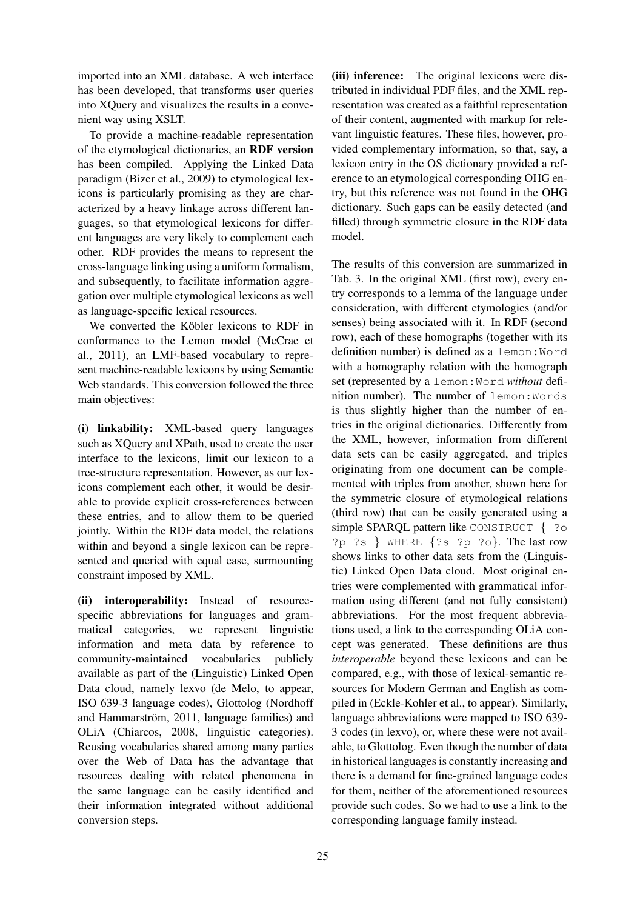imported into an XML database. A web interface has been developed, that transforms user queries into XQuery and visualizes the results in a convenient way using XSLT.

To provide a machine-readable representation of the etymological dictionaries, an RDF version has been compiled. Applying the Linked Data paradigm (Bizer et al., 2009) to etymological lexicons is particularly promising as they are characterized by a heavy linkage across different languages, so that etymological lexicons for different languages are very likely to complement each other. RDF provides the means to represent the cross-language linking using a uniform formalism, and subsequently, to facilitate information aggregation over multiple etymological lexicons as well as language-specific lexical resources.

We converted the Köbler lexicons to RDF in conformance to the Lemon model (McCrae et al., 2011), an LMF-based vocabulary to represent machine-readable lexicons by using Semantic Web standards. This conversion followed the three main objectives:

(i) linkability: XML-based query languages such as XQuery and XPath, used to create the user interface to the lexicons, limit our lexicon to a tree-structure representation. However, as our lexicons complement each other, it would be desirable to provide explicit cross-references between these entries, and to allow them to be queried jointly. Within the RDF data model, the relations within and beyond a single lexicon can be represented and queried with equal ease, surmounting constraint imposed by XML.

(ii) interoperability: Instead of resourcespecific abbreviations for languages and grammatical categories, we represent linguistic information and meta data by reference to community-maintained vocabularies publicly available as part of the (Linguistic) Linked Open Data cloud, namely lexvo (de Melo, to appear, ISO 639-3 language codes), Glottolog (Nordhoff and Hammarström, 2011, language families) and OLiA (Chiarcos, 2008, linguistic categories). Reusing vocabularies shared among many parties over the Web of Data has the advantage that resources dealing with related phenomena in the same language can be easily identified and their information integrated without additional conversion steps.

(iii) inference: The original lexicons were distributed in individual PDF files, and the XML representation was created as a faithful representation of their content, augmented with markup for relevant linguistic features. These files, however, provided complementary information, so that, say, a lexicon entry in the OS dictionary provided a reference to an etymological corresponding OHG entry, but this reference was not found in the OHG dictionary. Such gaps can be easily detected (and filled) through symmetric closure in the RDF data model.

The results of this conversion are summarized in Tab. 3. In the original XML (first row), every entry corresponds to a lemma of the language under consideration, with different etymologies (and/or senses) being associated with it. In RDF (second row), each of these homographs (together with its definition number) is defined as a lemon:Word with a homography relation with the homograph set (represented by a lemon:Word *without* definition number). The number of lemon:Words is thus slightly higher than the number of entries in the original dictionaries. Differently from the XML, however, information from different data sets can be easily aggregated, and triples originating from one document can be complemented with triples from another, shown here for the symmetric closure of etymological relations (third row) that can be easily generated using a simple SPARQL pattern like CONSTRUCT { ?0 ?p ?s } WHERE {?s ?p ?o}. The last row shows links to other data sets from the (Linguistic) Linked Open Data cloud. Most original entries were complemented with grammatical information using different (and not fully consistent) abbreviations. For the most frequent abbreviations used, a link to the corresponding OLiA concept was generated. These definitions are thus *interoperable* beyond these lexicons and can be compared, e.g., with those of lexical-semantic resources for Modern German and English as compiled in (Eckle-Kohler et al., to appear). Similarly, language abbreviations were mapped to ISO 639- 3 codes (in lexvo), or, where these were not available, to Glottolog. Even though the number of data in historical languages is constantly increasing and there is a demand for fine-grained language codes for them, neither of the aforementioned resources provide such codes. So we had to use a link to the corresponding language family instead.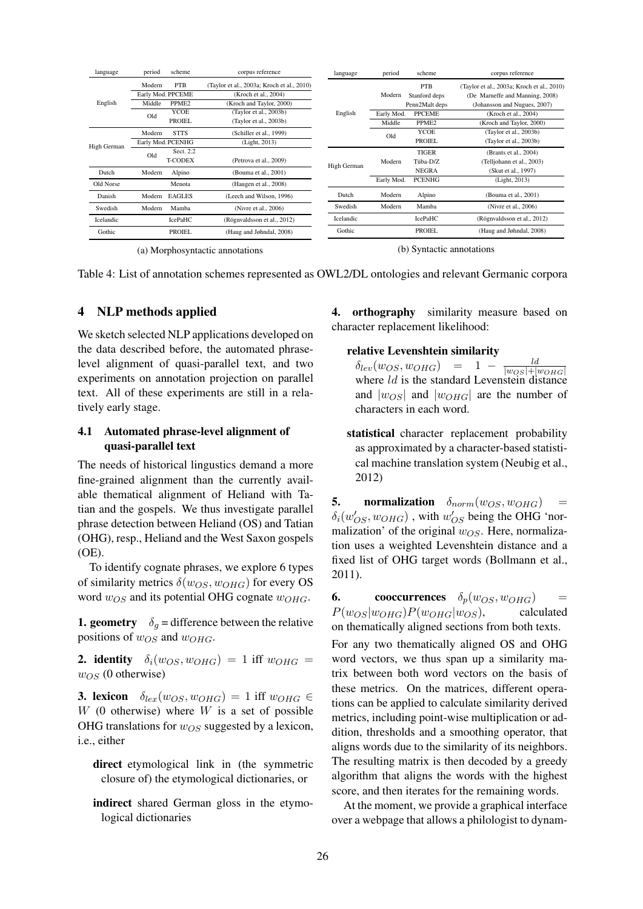| language    | period            | scheme            | corpus reference                           | language    | period     | scheme            | corpus reference                           |  |
|-------------|-------------------|-------------------|--------------------------------------------|-------------|------------|-------------------|--------------------------------------------|--|
|             | Modern            | <b>PTB</b>        | (Taylor et al., 2003a; Kroch et al., 2010) |             |            | <b>PTB</b>        | (Taylor et al., 2003a; Kroch et al., 2010) |  |
| English     | Early Mod. PPCEME |                   | (Kroch et al., 2004)                       |             | Modern     | Stanford deps     | (De Marneffe and Manning, 2008)            |  |
|             | Middle            | PPME <sub>2</sub> | (Kroch and Taylor, 2000)                   | English     |            | Penn2Malt deps    | (Johansson and Nugues, 2007)               |  |
|             | Old               | YCOE              | (Taylor et al., 2003b)                     |             | Early Mod. | <b>PPCEME</b>     | (Kroch et al., 2004)                       |  |
|             |                   | <b>PROIEL</b>     | (Taylor et al., 2003b)                     |             | Middle     | PPME <sub>2</sub> | (Kroch and Taylor, 2000)                   |  |
| High German | Modern            | <b>STTS</b>       | (Schiller et al., 1999)                    |             | Old        | YCOE              | (Taylor et al., 2003b)                     |  |
|             |                   | Early Mod. PCENHG | (Light, 2013)                              |             |            | <b>PROIEL</b>     | (Taylor et al., 2003b)                     |  |
|             | Old               | Sect. 2.2         |                                            |             | Modern     | <b>TIGER</b>      | (Brants et al., 2004)                      |  |
|             |                   | <b>T-CODEX</b>    | (Petrova et al., 2009)                     | High German |            | Tüba-D/Z          | (Telljohann et al., 2003)                  |  |
| Dutch       | Alpino<br>Modern  |                   | (Bouma et al., 2001)                       |             |            | <b>NEGRA</b>      | (Skut et al., 1997)                        |  |
| Old Norse   |                   | Menota            | (Haugen et al., 2008)                      |             | Early Mod. | <b>PCENHG</b>     | (Light, 2013)                              |  |
| Danish      | Modern            | <b>EAGLES</b>     | (Leech and Wilson, 1996)                   | Dutch       | Modern     | Alpino            | (Bouma et al., 2001)                       |  |
| Swedish     | Modern            | Mamba             | (Nivre et al., 2006)                       | Swedish     | Modern     | Mamba             | (Nivre et al., 2006)                       |  |
| Icelandic   |                   | <b>IcePaHC</b>    | (Rögnvaldsson et al., 2012)                | Icelandic   |            | IcePaHC           | (Rögnvaldsson et al., 2012)                |  |
| Gothic      |                   | <b>PROIEL</b>     | (Haug and Jøhndal, 2008)                   | Gothic      |            | <b>PROIEL</b>     | (Haug and Jøhndal, 2008)                   |  |
|             |                   |                   |                                            |             |            |                   |                                            |  |

(a) Morphosyntactic annotations

(b) Syntactic annotations

Table 4: List of annotation schemes represented as OWL2/DL ontologies and relevant Germanic corpora

#### 4 NLP methods applied

We sketch selected NLP applications developed on the data described before, the automated phraselevel alignment of quasi-parallel text, and two experiments on annotation projection on parallel text. All of these experiments are still in a relatively early stage.

### 4.1 Automated phrase-level alignment of quasi-parallel text

The needs of historical lingustics demand a more fine-grained alignment than the currently available thematical alignment of Heliand with Tatian and the gospels. We thus investigate parallel phrase detection between Heliand (OS) and Tatian (OHG), resp., Heliand and the West Saxon gospels (OE).

To identify cognate phrases, we explore 6 types of similarity metrics  $\delta(w_{OS}, w_{OHG})$  for every OS word  $w_{OS}$  and its potential OHG cognate  $w_{OHG}$ .

**1. geometry**  $\delta_q$  = difference between the relative positions of  $w_{OS}$  and  $w_{OHG}$ .

2. identity  $\delta_i(w_{OS}, w_{OHG}) = 1$  iff  $w_{OHG} =$  $w_{OS}$  (0 otherwise)

**3. lexicon**  $\delta_{lex}(w_{OS}, w_{OHG}) = 1$  iff  $w_{OHG} \in$  $W$  (0 otherwise) where  $W$  is a set of possible OHG translations for  $w_{OS}$  suggested by a lexicon, i.e., either

direct etymological link in (the symmetric closure of) the etymological dictionaries, or

indirect shared German gloss in the etymological dictionaries

4. orthography similarity measure based on character replacement likelihood:

#### relative Levenshtein similarity

 $\delta_{lev}(w_{OS}, w_{OHG}) = 1 - \frac{ld}{|w_{OS}|+1}$ where ld is the standard Levenstein distance and  $|w_{OS}|$  and  $|w_{OHG}|$  are the number of characters in each word.

statistical character replacement probability as approximated by a character-based statistical machine translation system (Neubig et al., 2012)

5. normalization  $\delta_{norm}(w_{OS}, w_{OHG})$  =  $\delta_i(w'_{OS}, w_{OHG})$  , with  $w'_{OS}$  being the OHG 'normalization' of the original  $w_{OS}$ . Here, normalization uses a weighted Levenshtein distance and a fixed list of OHG target words (Bollmann et al., 2011).

**6.** cooccurrences  $\delta_p(w_{OS}, w_{OHG})$  =  $P(w_{OS}|w_{OHG})P(w_{OHG}|w_{OS})$ , calculated on thematically aligned sections from both texts.

For any two thematically aligned OS and OHG word vectors, we thus span up a similarity matrix between both word vectors on the basis of these metrics. On the matrices, different operations can be applied to calculate similarity derived metrics, including point-wise multiplication or addition, thresholds and a smoothing operator, that aligns words due to the similarity of its neighbors. The resulting matrix is then decoded by a greedy algorithm that aligns the words with the highest score, and then iterates for the remaining words.

At the moment, we provide a graphical interface over a webpage that allows a philologist to dynam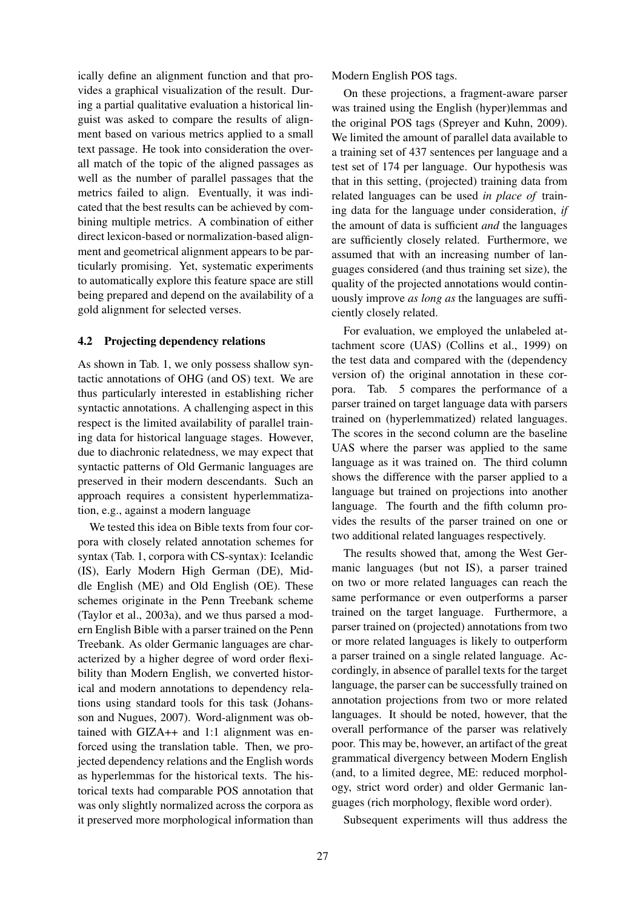ically define an alignment function and that provides a graphical visualization of the result. During a partial qualitative evaluation a historical linguist was asked to compare the results of alignment based on various metrics applied to a small text passage. He took into consideration the overall match of the topic of the aligned passages as well as the number of parallel passages that the metrics failed to align. Eventually, it was indicated that the best results can be achieved by combining multiple metrics. A combination of either direct lexicon-based or normalization-based alignment and geometrical alignment appears to be particularly promising. Yet, systematic experiments to automatically explore this feature space are still being prepared and depend on the availability of a gold alignment for selected verses.

#### 4.2 Projecting dependency relations

As shown in Tab. 1, we only possess shallow syntactic annotations of OHG (and OS) text. We are thus particularly interested in establishing richer syntactic annotations. A challenging aspect in this respect is the limited availability of parallel training data for historical language stages. However, due to diachronic relatedness, we may expect that syntactic patterns of Old Germanic languages are preserved in their modern descendants. Such an approach requires a consistent hyperlemmatization, e.g., against a modern language

We tested this idea on Bible texts from four corpora with closely related annotation schemes for syntax (Tab. 1, corpora with CS-syntax): Icelandic (IS), Early Modern High German (DE), Middle English (ME) and Old English (OE). These schemes originate in the Penn Treebank scheme (Taylor et al., 2003a), and we thus parsed a modern English Bible with a parser trained on the Penn Treebank. As older Germanic languages are characterized by a higher degree of word order flexibility than Modern English, we converted historical and modern annotations to dependency relations using standard tools for this task (Johansson and Nugues, 2007). Word-alignment was obtained with GIZA++ and 1:1 alignment was enforced using the translation table. Then, we projected dependency relations and the English words as hyperlemmas for the historical texts. The historical texts had comparable POS annotation that was only slightly normalized across the corpora as it preserved more morphological information than Modern English POS tags.

On these projections, a fragment-aware parser was trained using the English (hyper)lemmas and the original POS tags (Spreyer and Kuhn, 2009). We limited the amount of parallel data available to a training set of 437 sentences per language and a test set of 174 per language. Our hypothesis was that in this setting, (projected) training data from related languages can be used *in place of* training data for the language under consideration, *if* the amount of data is sufficient *and* the languages are sufficiently closely related. Furthermore, we assumed that with an increasing number of languages considered (and thus training set size), the quality of the projected annotations would continuously improve *as long as* the languages are sufficiently closely related.

For evaluation, we employed the unlabeled attachment score (UAS) (Collins et al., 1999) on the test data and compared with the (dependency version of) the original annotation in these corpora. Tab. 5 compares the performance of a parser trained on target language data with parsers trained on (hyperlemmatized) related languages. The scores in the second column are the baseline UAS where the parser was applied to the same language as it was trained on. The third column shows the difference with the parser applied to a language but trained on projections into another language. The fourth and the fifth column provides the results of the parser trained on one or two additional related languages respectively.

The results showed that, among the West Germanic languages (but not IS), a parser trained on two or more related languages can reach the same performance or even outperforms a parser trained on the target language. Furthermore, a parser trained on (projected) annotations from two or more related languages is likely to outperform a parser trained on a single related language. Accordingly, in absence of parallel texts for the target language, the parser can be successfully trained on annotation projections from two or more related languages. It should be noted, however, that the overall performance of the parser was relatively poor. This may be, however, an artifact of the great grammatical divergency between Modern English (and, to a limited degree, ME: reduced morphology, strict word order) and older Germanic languages (rich morphology, flexible word order).

Subsequent experiments will thus address the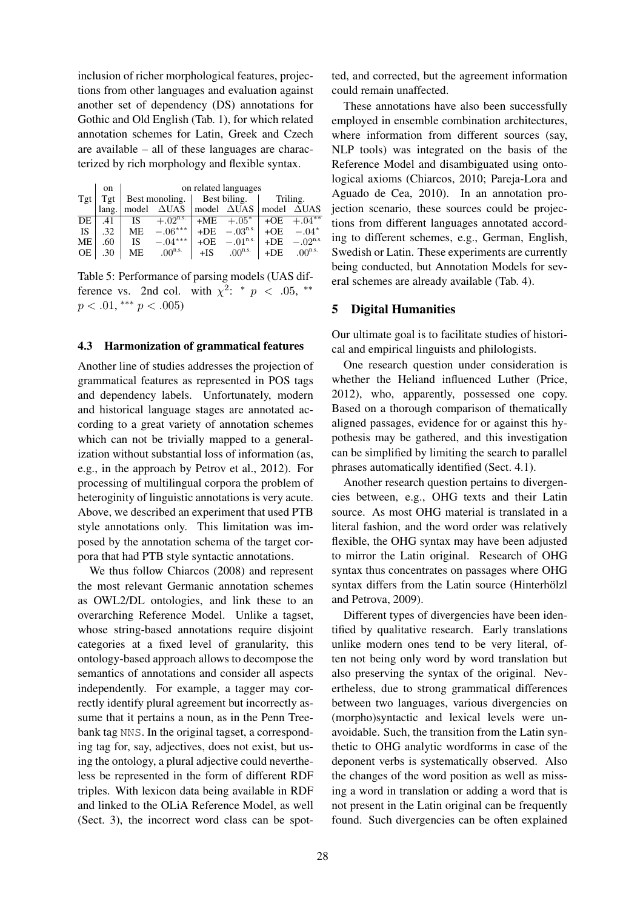inclusion of richer morphological features, projections from other languages and evaluation against another set of dependency (DS) annotations for Gothic and Old English (Tab. 1), for which related annotation schemes for Latin, Greek and Czech are available – all of these languages are characterized by rich morphology and flexible syntax.

|           | on    | on related languages |                        |       |                       |          |                        |  |  |  |
|-----------|-------|----------------------|------------------------|-------|-----------------------|----------|------------------------|--|--|--|
| Tgt       | Tgt   | Best monoling.       |                        |       | Best biling.          | Triling. |                        |  |  |  |
|           | lang. | model                | $\triangle$ UAS        |       | model $\triangle UAS$ | model    | <b>AUAS</b>            |  |  |  |
| DE        | .41   | IS                   | $+.02$ <sup>n.s.</sup> |       | $+ME + .05^*$         | $+OE$    | $+.04**$               |  |  |  |
| <b>IS</b> | .32   | <b>ME</b>            | $-.06***$              | $+DE$ | $-.03n.s.$            | $+OE$    | $-.04*$                |  |  |  |
| <b>ME</b> | .60   | <b>IS</b>            | $-.04***$              | $+OE$ | $-.01n.s.$            | $+DE$    | $-.02$ <sup>n.s.</sup> |  |  |  |
| OE.       | .30   | ME.                  | $.00^{n.s.}$           | $+IS$ | $.00^{n.s.}$          | $+DE$    | $.00^{n.s.}$           |  |  |  |

Table 5: Performance of parsing models (UAS difference vs. 2nd col. with  $\chi^2$ : \*  $p \lt .05$ , \*\*  $p < .01,$ \*\*\*  $p < .005$ )

#### 4.3 Harmonization of grammatical features

Another line of studies addresses the projection of grammatical features as represented in POS tags and dependency labels. Unfortunately, modern and historical language stages are annotated according to a great variety of annotation schemes which can not be trivially mapped to a generalization without substantial loss of information (as, e.g., in the approach by Petrov et al., 2012). For processing of multilingual corpora the problem of heteroginity of linguistic annotations is very acute. Above, we described an experiment that used PTB style annotations only. This limitation was imposed by the annotation schema of the target corpora that had PTB style syntactic annotations.

We thus follow Chiarcos (2008) and represent the most relevant Germanic annotation schemes as OWL2/DL ontologies, and link these to an overarching Reference Model. Unlike a tagset, whose string-based annotations require disjoint categories at a fixed level of granularity, this ontology-based approach allows to decompose the semantics of annotations and consider all aspects independently. For example, a tagger may correctly identify plural agreement but incorrectly assume that it pertains a noun, as in the Penn Treebank tag NNS. In the original tagset, a corresponding tag for, say, adjectives, does not exist, but using the ontology, a plural adjective could nevertheless be represented in the form of different RDF triples. With lexicon data being available in RDF and linked to the OLiA Reference Model, as well (Sect. 3), the incorrect word class can be spotted, and corrected, but the agreement information could remain unaffected.

These annotations have also been successfully employed in ensemble combination architectures, where information from different sources (say, NLP tools) was integrated on the basis of the Reference Model and disambiguated using ontological axioms (Chiarcos, 2010; Pareja-Lora and Aguado de Cea, 2010). In an annotation projection scenario, these sources could be projections from different languages annotated according to different schemes, e.g., German, English, Swedish or Latin. These experiments are currently being conducted, but Annotation Models for several schemes are already available (Tab. 4).

#### 5 Digital Humanities

Our ultimate goal is to facilitate studies of historical and empirical linguists and philologists.

One research question under consideration is whether the Heliand influenced Luther (Price, 2012), who, apparently, possessed one copy. Based on a thorough comparison of thematically aligned passages, evidence for or against this hypothesis may be gathered, and this investigation can be simplified by limiting the search to parallel phrases automatically identified (Sect. 4.1).

Another research question pertains to divergencies between, e.g., OHG texts and their Latin source. As most OHG material is translated in a literal fashion, and the word order was relatively flexible, the OHG syntax may have been adjusted to mirror the Latin original. Research of OHG syntax thus concentrates on passages where OHG syntax differs from the Latin source (Hinterhölzl and Petrova, 2009).

Different types of divergencies have been identified by qualitative research. Early translations unlike modern ones tend to be very literal, often not being only word by word translation but also preserving the syntax of the original. Nevertheless, due to strong grammatical differences between two languages, various divergencies on (morpho)syntactic and lexical levels were unavoidable. Such, the transition from the Latin synthetic to OHG analytic wordforms in case of the deponent verbs is systematically observed. Also the changes of the word position as well as missing a word in translation or adding a word that is not present in the Latin original can be frequently found. Such divergencies can be often explained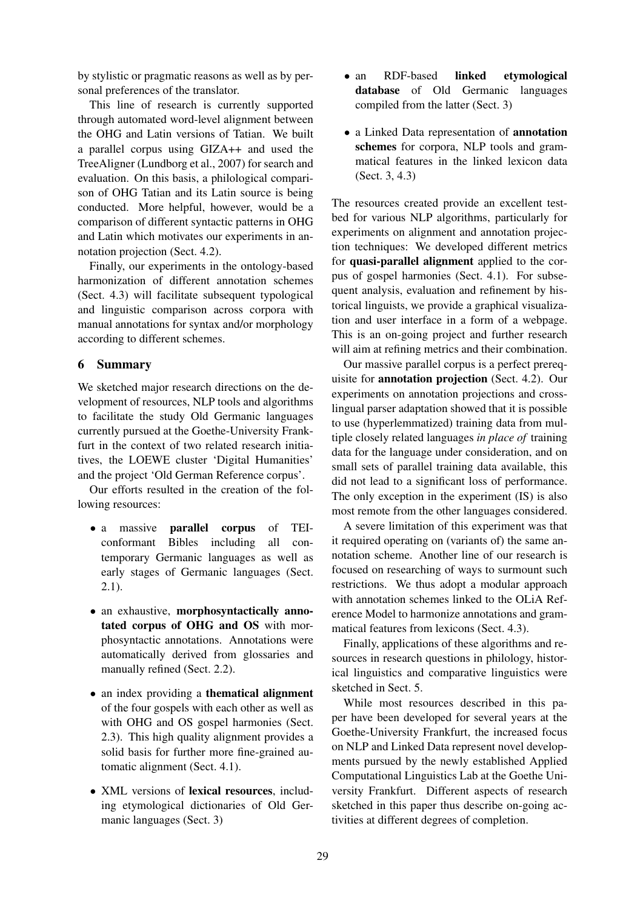by stylistic or pragmatic reasons as well as by personal preferences of the translator.

This line of research is currently supported through automated word-level alignment between the OHG and Latin versions of Tatian. We built a parallel corpus using GIZA++ and used the TreeAligner (Lundborg et al., 2007) for search and evaluation. On this basis, a philological comparison of OHG Tatian and its Latin source is being conducted. More helpful, however, would be a comparison of different syntactic patterns in OHG and Latin which motivates our experiments in annotation projection (Sect. 4.2).

Finally, our experiments in the ontology-based harmonization of different annotation schemes (Sect. 4.3) will facilitate subsequent typological and linguistic comparison across corpora with manual annotations for syntax and/or morphology according to different schemes.

#### 6 Summary

We sketched major research directions on the development of resources, NLP tools and algorithms to facilitate the study Old Germanic languages currently pursued at the Goethe-University Frankfurt in the context of two related research initiatives, the LOEWE cluster 'Digital Humanities' and the project 'Old German Reference corpus'.

Our efforts resulted in the creation of the following resources:

- a massive parallel corpus of TEIconformant Bibles including all contemporary Germanic languages as well as early stages of Germanic languages (Sect. 2.1).
- an exhaustive, morphosyntactically annotated corpus of OHG and OS with morphosyntactic annotations. Annotations were automatically derived from glossaries and manually refined (Sect. 2.2).
- an index providing a **thematical alignment** of the four gospels with each other as well as with OHG and OS gospel harmonies (Sect. 2.3). This high quality alignment provides a solid basis for further more fine-grained automatic alignment (Sect. 4.1).
- XML versions of lexical resources, including etymological dictionaries of Old Germanic languages (Sect. 3)
- an RDF-based linked etymological database of Old Germanic languages compiled from the latter (Sect. 3)
- a Linked Data representation of annotation schemes for corpora, NLP tools and grammatical features in the linked lexicon data (Sect. 3, 4.3)

The resources created provide an excellent testbed for various NLP algorithms, particularly for experiments on alignment and annotation projection techniques: We developed different metrics for quasi-parallel alignment applied to the corpus of gospel harmonies (Sect. 4.1). For subsequent analysis, evaluation and refinement by historical linguists, we provide a graphical visualization and user interface in a form of a webpage. This is an on-going project and further research will aim at refining metrics and their combination.

Our massive parallel corpus is a perfect prerequisite for annotation projection (Sect. 4.2). Our experiments on annotation projections and crosslingual parser adaptation showed that it is possible to use (hyperlemmatized) training data from multiple closely related languages *in place of* training data for the language under consideration, and on small sets of parallel training data available, this did not lead to a significant loss of performance. The only exception in the experiment (IS) is also most remote from the other languages considered.

A severe limitation of this experiment was that it required operating on (variants of) the same annotation scheme. Another line of our research is focused on researching of ways to surmount such restrictions. We thus adopt a modular approach with annotation schemes linked to the OLiA Reference Model to harmonize annotations and grammatical features from lexicons (Sect. 4.3).

Finally, applications of these algorithms and resources in research questions in philology, historical linguistics and comparative linguistics were sketched in Sect. 5.

While most resources described in this paper have been developed for several years at the Goethe-University Frankfurt, the increased focus on NLP and Linked Data represent novel developments pursued by the newly established Applied Computational Linguistics Lab at the Goethe University Frankfurt. Different aspects of research sketched in this paper thus describe on-going activities at different degrees of completion.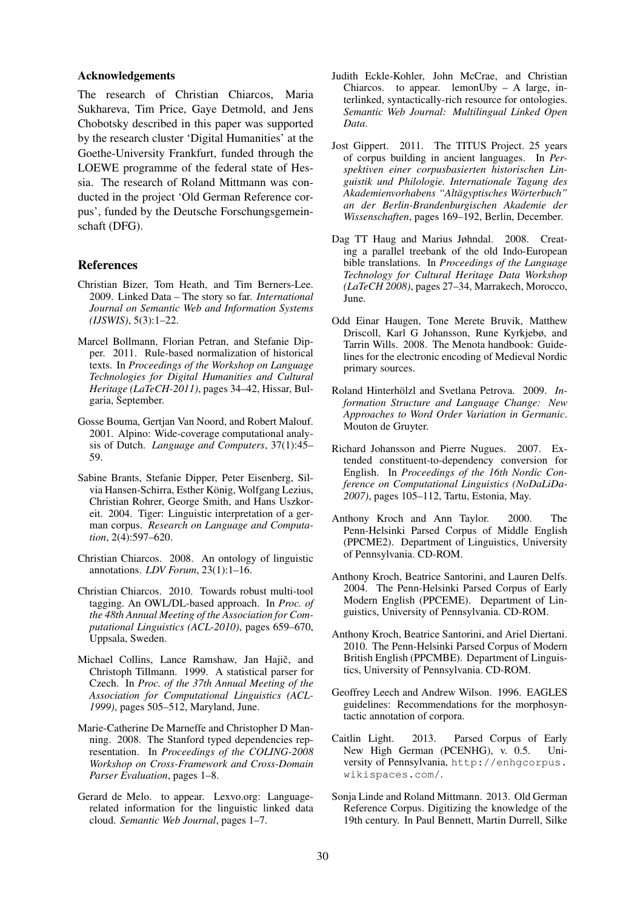#### Acknowledgements

The research of Christian Chiarcos, Maria Sukhareva, Tim Price, Gaye Detmold, and Jens Chobotsky described in this paper was supported by the research cluster 'Digital Humanities' at the Goethe-University Frankfurt, funded through the LOEWE programme of the federal state of Hessia. The research of Roland Mittmann was conducted in the project 'Old German Reference corpus', funded by the Deutsche Forschungsgemeinschaft (DFG).

#### References

- Christian Bizer, Tom Heath, and Tim Berners-Lee. 2009. Linked Data – The story so far. *International Journal on Semantic Web and Information Systems (IJSWIS)*, 5(3):1–22.
- Marcel Bollmann, Florian Petran, and Stefanie Dipper. 2011. Rule-based normalization of historical texts. In *Proceedings of the Workshop on Language Technologies for Digital Humanities and Cultural Heritage (LaTeCH-2011)*, pages 34–42, Hissar, Bulgaria, September.
- Gosse Bouma, Gertjan Van Noord, and Robert Malouf. 2001. Alpino: Wide-coverage computational analysis of Dutch. *Language and Computers*, 37(1):45– 59.
- Sabine Brants, Stefanie Dipper, Peter Eisenberg, Silvia Hansen-Schirra, Esther König, Wolfgang Lezius, Christian Rohrer, George Smith, and Hans Uszkoreit. 2004. Tiger: Linguistic interpretation of a german corpus. *Research on Language and Computation*, 2(4):597–620.
- Christian Chiarcos. 2008. An ontology of linguistic annotations. *LDV Forum*, 23(1):1–16.
- Christian Chiarcos. 2010. Towards robust multi-tool tagging. An OWL/DL-based approach. In *Proc. of the 48th Annual Meeting of the Association for Computational Linguistics (ACL-2010)*, pages 659–670, Uppsala, Sweden.
- Michael Collins, Lance Ramshaw, Jan Hajič, and Christoph Tillmann. 1999. A statistical parser for Czech. In *Proc. of the 37th Annual Meeting of the Association for Computational Linguistics (ACL-1999)*, pages 505–512, Maryland, June.
- Marie-Catherine De Marneffe and Christopher D Manning. 2008. The Stanford typed dependencies representation. In *Proceedings of the COLING-2008 Workshop on Cross-Framework and Cross-Domain Parser Evaluation*, pages 1–8.
- Gerard de Melo. to appear. Lexvo.org: Languagerelated information for the linguistic linked data cloud. *Semantic Web Journal*, pages 1–7.
- Judith Eckle-Kohler, John McCrae, and Christian Chiarcos. to appear. lemonUby – A large, interlinked, syntactically-rich resource for ontologies. *Semantic Web Journal: Multilingual Linked Open Data*.
- Jost Gippert. 2011. The TITUS Project. 25 years of corpus building in ancient languages. In *Perspektiven einer corpusbasierten historischen Linguistik und Philologie. Internationale Tagung des Akademienvorhabens "Altagyptisches W ¨ orterbuch" ¨ an der Berlin-Brandenburgischen Akademie der Wissenschaften*, pages 169–192, Berlin, December.
- Dag TT Haug and Marius Jøhndal. 2008. Creating a parallel treebank of the old Indo-European bible translations. In *Proceedings of the Language Technology for Cultural Heritage Data Workshop (LaTeCH 2008)*, pages 27–34, Marrakech, Morocco, June.
- Odd Einar Haugen, Tone Merete Bruvik, Matthew Driscoll, Karl G Johansson, Rune Kyrkjebø, and Tarrin Wills. 2008. The Menota handbook: Guidelines for the electronic encoding of Medieval Nordic primary sources.
- Roland Hinterhölzl and Svetlana Petrova. 2009. In*formation Structure and Language Change: New Approaches to Word Order Variation in Germanic*. Mouton de Gruyter.
- Richard Johansson and Pierre Nugues. 2007. Extended constituent-to-dependency conversion for English. In *Proceedings of the 16th Nordic Conference on Computational Linguistics (NoDaLiDa-2007)*, pages 105–112, Tartu, Estonia, May.
- Anthony Kroch and Ann Taylor. 2000. The Penn-Helsinki Parsed Corpus of Middle English (PPCME2). Department of Linguistics, University of Pennsylvania. CD-ROM.
- Anthony Kroch, Beatrice Santorini, and Lauren Delfs. 2004. The Penn-Helsinki Parsed Corpus of Early Modern English (PPCEME). Department of Linguistics, University of Pennsylvania. CD-ROM.
- Anthony Kroch, Beatrice Santorini, and Ariel Diertani. 2010. The Penn-Helsinki Parsed Corpus of Modern British English (PPCMBE). Department of Linguistics, University of Pennsylvania. CD-ROM.
- Geoffrey Leech and Andrew Wilson. 1996. EAGLES guidelines: Recommendations for the morphosyntactic annotation of corpora.
- Caitlin Light. 2013. Parsed Corpus of Early New High German (PCENHG), v. 0.5. University of Pennsylvania, http://enhgcorpus. wikispaces.com/.
- Sonja Linde and Roland Mittmann. 2013. Old German Reference Corpus. Digitizing the knowledge of the 19th century. In Paul Bennett, Martin Durrell, Silke